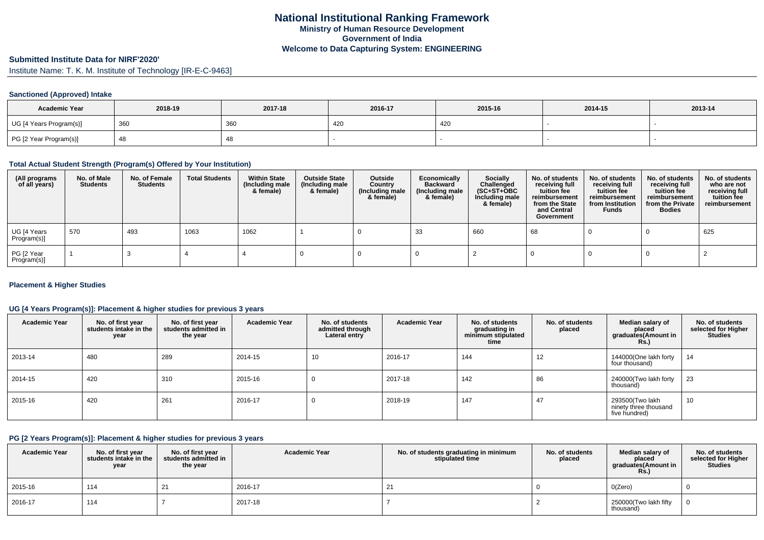# **Submitted Institute Data for NIRF'2020'**

Institute Name: T. K. M. Institute of Technology [IR-E-C-9463]

#### **Sanctioned (Approved) Intake**

| <b>Academic Year</b>    | 2018-19 | 2017-18 | 2016-17 | 2015-16 | 2014-15 | 2013-14 |
|-------------------------|---------|---------|---------|---------|---------|---------|
| UG [4 Years Program(s)] | 360     | 360     | 420     | 420     |         |         |
| PG [2 Year Program(s)]  |         | 40      |         |         |         |         |

#### **Total Actual Student Strength (Program(s) Offered by Your Institution)**

| (All programs<br>of all years) | No. of Male<br><b>Students</b> | No. of Female<br><b>Students</b> | <b>Total Students</b> | <b>Within State</b><br>(Including male<br>& female) | <b>Outside State</b><br>(Including male<br>& female) | Outside<br>Country<br>(Including male<br>& female) | Economically<br><b>Backward</b><br>(Including male<br>& female) | <b>Socially</b><br>Challenged<br>$(SC+ST+OBC)$<br>Including male<br>& female) | No. of students<br>receiving full<br>tuition fee<br>reimbursement<br>from the State<br>and Central<br>Government | No. of students<br>receiving full<br>tuition fee<br>reimbursement<br>from Institution<br><b>Funds</b> | No. of students<br>receiving full<br>tuition fee<br>reimbursement<br>from the Private<br><b>Bodies</b> | No. of students<br>who are not<br>receiving full<br>tuition fee<br>reimbursement |
|--------------------------------|--------------------------------|----------------------------------|-----------------------|-----------------------------------------------------|------------------------------------------------------|----------------------------------------------------|-----------------------------------------------------------------|-------------------------------------------------------------------------------|------------------------------------------------------------------------------------------------------------------|-------------------------------------------------------------------------------------------------------|--------------------------------------------------------------------------------------------------------|----------------------------------------------------------------------------------|
| UG [4 Years<br>Program(s)]     | 570                            | 493                              | 1063                  | 1062                                                |                                                      |                                                    | 33                                                              | 660                                                                           | 68                                                                                                               |                                                                                                       |                                                                                                        | 625                                                                              |
| PG [2 Year<br>Program(s)]      |                                |                                  |                       |                                                     |                                                      |                                                    |                                                                 |                                                                               |                                                                                                                  |                                                                                                       |                                                                                                        |                                                                                  |

#### **Placement & Higher Studies**

#### **UG [4 Years Program(s)]: Placement & higher studies for previous 3 years**

| <b>Academic Year</b> | No. of first year<br>students intake in the<br>year | No. of first vear<br>students admitted in<br>the year | <b>Academic Year</b> | No. of students<br>admitted through<br>Lateral entry | <b>Academic Year</b> | No. of students<br>graduating in<br>minimum stipulated<br>time | No. of students<br>placed | Median salary of<br>placed<br>graduates(Amount in<br><b>Rs.)</b> | No. of students<br>selected for Higher<br><b>Studies</b> |
|----------------------|-----------------------------------------------------|-------------------------------------------------------|----------------------|------------------------------------------------------|----------------------|----------------------------------------------------------------|---------------------------|------------------------------------------------------------------|----------------------------------------------------------|
| 2013-14              | 480                                                 | 289                                                   | 2014-15              | 10                                                   | 2016-17              | 144                                                            | 12                        | 144000(One lakh forty<br>four thousand)                          | 14                                                       |
| 2014-15              | 420                                                 | 310                                                   | 2015-16              | U                                                    | 2017-18              | 142                                                            | 86                        | 240000(Two lakh forty<br>thousand)                               | 23                                                       |
| 2015-16              | 420                                                 | 261                                                   | 2016-17              |                                                      | 2018-19              | 147                                                            | 47                        | 293500(Two lakh<br>ninety three thousand<br>five hundred)        | 10                                                       |

#### **PG [2 Years Program(s)]: Placement & higher studies for previous 3 years**

| <b>Academic Year</b> | No. of first year<br>students intake in the<br>year | No. of first year<br>students admitted in<br>the year | <b>Academic Year</b> | No. of students graduating in minimum<br>stipulated time | No. of students<br>placed | Median salarv of<br>placed<br>graduates(Amount in<br><b>Rs.</b> ) | No. of students<br>selected for Higher<br><b>Studies</b> |
|----------------------|-----------------------------------------------------|-------------------------------------------------------|----------------------|----------------------------------------------------------|---------------------------|-------------------------------------------------------------------|----------------------------------------------------------|
| 2015-16              | 114                                                 | 21                                                    | 2016-17              |                                                          |                           | O(Zero)                                                           |                                                          |
| 2016-17              | 114                                                 |                                                       | 2017-18              |                                                          |                           | 250000(Two lakh fifty<br>thousand)                                |                                                          |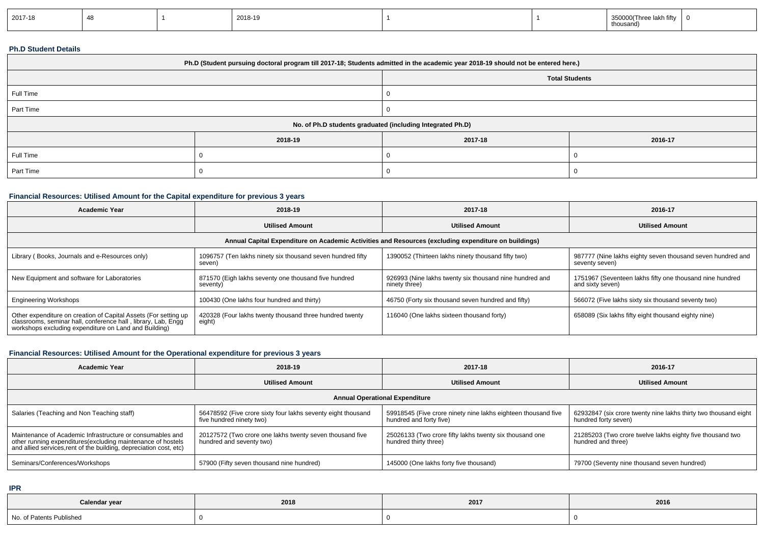| 2017-18 |  |  | 2018-19 |  |  | lakh fifty<br>350000(Three lakh<br>thousand) |  |
|---------|--|--|---------|--|--|----------------------------------------------|--|
|---------|--|--|---------|--|--|----------------------------------------------|--|

## **Ph.D Student Details**

| Ph.D (Student pursuing doctoral program till 2017-18; Students admitted in the academic year 2018-19 should not be entered here.) |         |         |                       |  |  |  |  |
|-----------------------------------------------------------------------------------------------------------------------------------|---------|---------|-----------------------|--|--|--|--|
|                                                                                                                                   |         |         | <b>Total Students</b> |  |  |  |  |
| Full Time                                                                                                                         |         |         |                       |  |  |  |  |
| Part Time                                                                                                                         |         |         |                       |  |  |  |  |
| No. of Ph.D students graduated (including Integrated Ph.D)                                                                        |         |         |                       |  |  |  |  |
|                                                                                                                                   | 2018-19 | 2017-18 | 2016-17               |  |  |  |  |
| Full Time                                                                                                                         |         |         |                       |  |  |  |  |
| Part Time                                                                                                                         |         |         |                       |  |  |  |  |

## **Financial Resources: Utilised Amount for the Capital expenditure for previous 3 years**

| Academic Year                                                                                                                                                                             | 2018-19                                                              | 2017-18                                                                  | 2016-17                                                                      |  |  |  |  |  |
|-------------------------------------------------------------------------------------------------------------------------------------------------------------------------------------------|----------------------------------------------------------------------|--------------------------------------------------------------------------|------------------------------------------------------------------------------|--|--|--|--|--|
|                                                                                                                                                                                           | <b>Utilised Amount</b>                                               | <b>Utilised Amount</b>                                                   | <b>Utilised Amount</b>                                                       |  |  |  |  |  |
| Annual Capital Expenditure on Academic Activities and Resources (excluding expenditure on buildings)                                                                                      |                                                                      |                                                                          |                                                                              |  |  |  |  |  |
| Library (Books, Journals and e-Resources only)                                                                                                                                            | 1096757 (Ten lakhs ninety six thousand seven hundred fifty<br>seven) | 1390052 (Thirteen lakhs ninety thousand fifty two)                       | 987777 (Nine lakhs eighty seven thousand seven hundred and<br>seventy seven) |  |  |  |  |  |
| New Equipment and software for Laboratories                                                                                                                                               | 871570 (Eigh lakhs seventy one thousand five hundred<br>seventy)     | 926993 (Nine lakhs twenty six thousand nine hundred and<br>ninety three) | 1751967 (Seventeen lakhs fifty one thousand nine hundred<br>and sixty seven) |  |  |  |  |  |
| <b>Engineering Workshops</b>                                                                                                                                                              | 100430 (One lakhs four hundred and thirty)                           | 46750 (Forty six thousand seven hundred and fifty)                       | 566072 (Five lakhs sixty six thousand seventy two)                           |  |  |  |  |  |
| Other expenditure on creation of Capital Assets (For setting up<br>classrooms, seminar hall, conference hall, library, Lab, Engq<br>workshops excluding expenditure on Land and Building) | 420328 (Four lakhs twenty thousand three hundred twenty<br>eight)    | 116040 (One lakhs sixteen thousand forty)                                | 658089 (Six lakhs fifty eight thousand eighty nine)                          |  |  |  |  |  |

# **Financial Resources: Utilised Amount for the Operational expenditure for previous 3 years**

| 2018-19<br><b>Academic Year</b>                                                                                                                                                                 |                                                                                          | 2017-18                                                                                  | 2016-17                                                                                 |  |  |  |  |  |
|-------------------------------------------------------------------------------------------------------------------------------------------------------------------------------------------------|------------------------------------------------------------------------------------------|------------------------------------------------------------------------------------------|-----------------------------------------------------------------------------------------|--|--|--|--|--|
|                                                                                                                                                                                                 | <b>Utilised Amount</b>                                                                   | <b>Utilised Amount</b>                                                                   | <b>Utilised Amount</b>                                                                  |  |  |  |  |  |
| <b>Annual Operational Expenditure</b>                                                                                                                                                           |                                                                                          |                                                                                          |                                                                                         |  |  |  |  |  |
| Salaries (Teaching and Non Teaching staff)                                                                                                                                                      | 56478592 (Five crore sixty four lakhs seventy eight thousand<br>five hundred ninety two) | 59918545 (Five crore ninety nine lakhs eighteen thousand five<br>hundred and forty five) | 62932847 (six crore twenty nine lakhs thirty two thousand eight<br>hundred forty seven) |  |  |  |  |  |
| Maintenance of Academic Infrastructure or consumables and<br>other running expenditures (excluding maintenance of hostels<br>and allied services, rent of the building, depreciation cost, etc) | 20127572 (Two crore one lakhs twenty seven thousand five<br>hundred and seventy two)     | 25026133 (Two crore fifty lakhs twenty six thousand one<br>hundred thirty three)         | 21285203 (Two crore twelve lakhs eighty five thousand two<br>hundred and three)         |  |  |  |  |  |
| Seminars/Conferences/Workshops                                                                                                                                                                  | 57900 (Fifty seven thousand nine hundred)                                                | 145000 (One lakhs forty five thousand)                                                   | 79700 (Seventy nine thousand seven hundred)                                             |  |  |  |  |  |

**IPR**

| Calendar year            | 2018 | 2017 | 2016 |
|--------------------------|------|------|------|
| No. of Patents Published |      |      |      |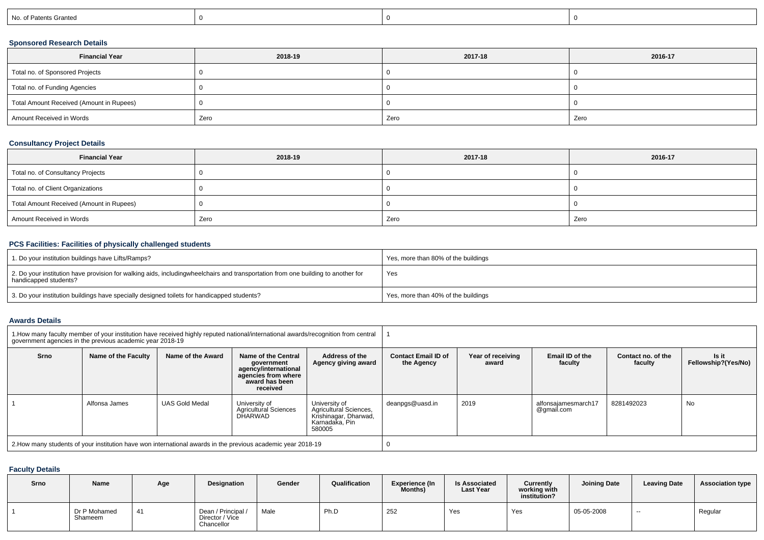| No. of Patents Granted |
|------------------------|
|------------------------|

## **Sponsored Research Details**

| <b>Financial Year</b>                    | 2018-19 | 2017-18 | 2016-17 |
|------------------------------------------|---------|---------|---------|
| Total no. of Sponsored Projects          |         |         |         |
| Total no. of Funding Agencies            |         |         |         |
| Total Amount Received (Amount in Rupees) |         |         |         |
| Amount Received in Words                 | Zero    | Zero    | Zero    |

## **Consultancy Project Details**

| <b>Financial Year</b>                    | 2018-19 | 2017-18 | 2016-17 |
|------------------------------------------|---------|---------|---------|
| Total no. of Consultancy Projects        |         |         |         |
| Total no. of Client Organizations        |         |         |         |
| Total Amount Received (Amount in Rupees) |         |         |         |
| Amount Received in Words                 | Zero    | Zero    | Zero    |

## **PCS Facilities: Facilities of physically challenged students**

| 1. Do your institution buildings have Lifts/Ramps?                                                                                                        | Yes, more than 80% of the buildings |
|-----------------------------------------------------------------------------------------------------------------------------------------------------------|-------------------------------------|
| 2. Do your institution have provision for walking aids, includingwheelchairs and transportation from one building to another for<br>handicapped students? | Yes                                 |
| 3. Do your institution buildings have specially designed toilets for handicapped students?                                                                | Yes, more than 40% of the buildings |

#### **Awards Details**

|             | 1. How many faculty member of your institution have received highly reputed national/international awards/recognition from central<br>government agencies in the previous academic year 2018-19 |                       |                                                                                                                |                                                                                              |                                          |                            |                                   |                               |                              |  |
|-------------|-------------------------------------------------------------------------------------------------------------------------------------------------------------------------------------------------|-----------------------|----------------------------------------------------------------------------------------------------------------|----------------------------------------------------------------------------------------------|------------------------------------------|----------------------------|-----------------------------------|-------------------------------|------------------------------|--|
| <b>Srno</b> | Name of the Faculty                                                                                                                                                                             | Name of the Award     | Name of the Central<br>government<br>agency/international<br>agencies from where<br>award has been<br>received | Address of the<br>Agency giving award                                                        | <b>Contact Email ID of</b><br>the Agency | Year of receiving<br>award | Email ID of the<br>faculty        | Contact no. of the<br>faculty | ls it<br>Fellowship?(Yes/No) |  |
|             | Alfonsa James                                                                                                                                                                                   | <b>UAS Gold Medal</b> | University of<br><b>Agricultural Sciences</b><br>DHARWAD                                                       | University of<br>Agricultural Sciences.<br>Krishinagar, Dharwad,<br>Karnadaka, Pin<br>580005 | deanpgs@uasd.in                          | 2019                       | alfonsaiamesmarch17<br>@gmail.com | 8281492023                    | No                           |  |
|             | 2. How many students of your institution have won international awards in the previous academic year 2018-19                                                                                    |                       |                                                                                                                |                                                                                              |                                          |                            |                                   |                               |                              |  |

### **Faculty Details**

| Srno | <b>Name</b>             | Age | Designation                                         | Gender | Qualification | <b>Experience (In</b><br><b>Months)</b> | <b>Is Associated</b><br><b>Last Year</b> | Currently<br>working with<br>institution? | <b>Joining Date</b> | <b>Leaving Date</b> | <b>Association type</b> |
|------|-------------------------|-----|-----------------------------------------------------|--------|---------------|-----------------------------------------|------------------------------------------|-------------------------------------------|---------------------|---------------------|-------------------------|
|      | Dr P Mohamed<br>Shameem | 41  | Dean / Principal /<br>Director / Vice<br>Chancellor | Male   | Ph.D          | 252                                     | Yes                                      | Yes                                       | 05-05-2008          | $- -$               | Regular                 |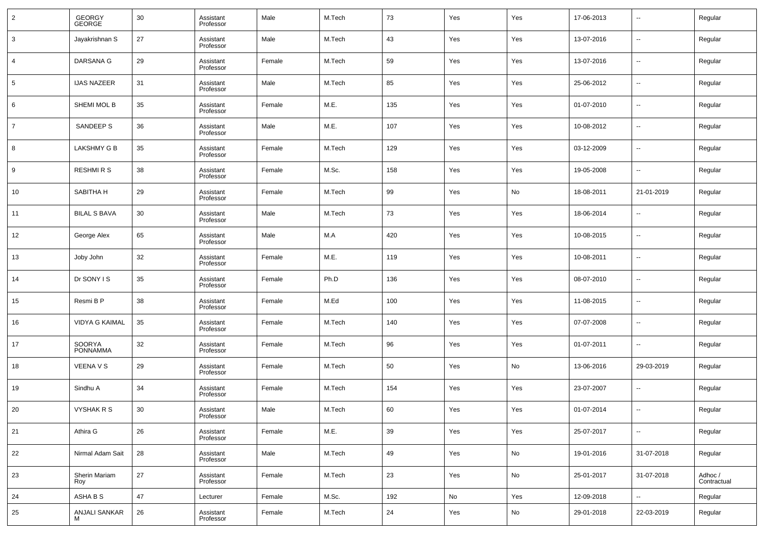| $\overline{2}$ | GEORGY<br>GEORGE          | 30 | Assistant<br>Professor | Male   | M.Tech | 73  | Yes | Yes | 17-06-2013 | $\overline{\phantom{a}}$ | Regular                |
|----------------|---------------------------|----|------------------------|--------|--------|-----|-----|-----|------------|--------------------------|------------------------|
| 3              | Jayakrishnan S            | 27 | Assistant<br>Professor | Male   | M.Tech | 43  | Yes | Yes | 13-07-2016 | $\overline{\phantom{a}}$ | Regular                |
| 4              | DARSANA G                 | 29 | Assistant<br>Professor | Female | M.Tech | 59  | Yes | Yes | 13-07-2016 | $\overline{\phantom{a}}$ | Regular                |
| 5              | <b>IJAS NAZEER</b>        | 31 | Assistant<br>Professor | Male   | M.Tech | 85  | Yes | Yes | 25-06-2012 | $\overline{\phantom{a}}$ | Regular                |
| 6              | SHEMI MOL B               | 35 | Assistant<br>Professor | Female | M.E.   | 135 | Yes | Yes | 01-07-2010 | $\overline{\phantom{a}}$ | Regular                |
| $\overline{7}$ | SANDEEP S                 | 36 | Assistant<br>Professor | Male   | M.E.   | 107 | Yes | Yes | 10-08-2012 | $\overline{\phantom{a}}$ | Regular                |
| 8              | LAKSHMY G B               | 35 | Assistant<br>Professor | Female | M.Tech | 129 | Yes | Yes | 03-12-2009 | $\overline{\phantom{a}}$ | Regular                |
| 9              | <b>RESHMIRS</b>           | 38 | Assistant<br>Professor | Female | M.Sc.  | 158 | Yes | Yes | 19-05-2008 | $\overline{\phantom{a}}$ | Regular                |
| 10             | SABITHA H                 | 29 | Assistant<br>Professor | Female | M.Tech | 99  | Yes | No  | 18-08-2011 | 21-01-2019               | Regular                |
| 11             | <b>BILAL S BAVA</b>       | 30 | Assistant<br>Professor | Male   | M.Tech | 73  | Yes | Yes | 18-06-2014 | $\overline{\phantom{a}}$ | Regular                |
| 12             | George Alex               | 65 | Assistant<br>Professor | Male   | M.A    | 420 | Yes | Yes | 10-08-2015 | $\overline{\phantom{a}}$ | Regular                |
| 13             | Joby John                 | 32 | Assistant<br>Professor | Female | M.E.   | 119 | Yes | Yes | 10-08-2011 | $\overline{\phantom{a}}$ | Regular                |
| 14             | Dr SONY I S               | 35 | Assistant<br>Professor | Female | Ph.D   | 136 | Yes | Yes | 08-07-2010 | $\overline{\phantom{a}}$ | Regular                |
| 15             | Resmi B P                 | 38 | Assistant<br>Professor | Female | M.Ed   | 100 | Yes | Yes | 11-08-2015 | $\overline{\phantom{a}}$ | Regular                |
| 16             | <b>VIDYA G KAIMAL</b>     | 35 | Assistant<br>Professor | Female | M.Tech | 140 | Yes | Yes | 07-07-2008 | $\overline{\phantom{a}}$ | Regular                |
| 17             | SOORYA<br><b>PONNAMMA</b> | 32 | Assistant<br>Professor | Female | M.Tech | 96  | Yes | Yes | 01-07-2011 | $\overline{\phantom{a}}$ | Regular                |
| 18             | <b>VEENA V S</b>          | 29 | Assistant<br>Professor | Female | M.Tech | 50  | Yes | No  | 13-06-2016 | 29-03-2019               | Regular                |
| 19             | Sindhu A                  | 34 | Assistant<br>Professor | Female | M.Tech | 154 | Yes | Yes | 23-07-2007 | $\overline{\phantom{a}}$ | Regular                |
| 20             | <b>VYSHAK R S</b>         | 30 | Assistant<br>Professor | Male   | M.Tech | 60  | Yes | Yes | 01-07-2014 | $\sim$                   | Regular                |
| 21             | Athira G                  | 26 | Assistant<br>Professor | Female | M.E.   | 39  | Yes | Yes | 25-07-2017 | $\overline{\phantom{a}}$ | Regular                |
| 22             | Nirmal Adam Sait          | 28 | Assistant<br>Professor | Male   | M.Tech | 49  | Yes | No  | 19-01-2016 | 31-07-2018               | Regular                |
| 23             | Sherin Mariam<br>Roy      | 27 | Assistant<br>Professor | Female | M.Tech | 23  | Yes | No  | 25-01-2017 | 31-07-2018               | Adhoc /<br>Contractual |
| 24             | ASHA B S                  | 47 | Lecturer               | Female | M.Sc.  | 192 | No  | Yes | 12-09-2018 | $\overline{\phantom{a}}$ | Regular                |
| 25             | ANJALI SANKAR<br>м        | 26 | Assistant<br>Professor | Female | M.Tech | 24  | Yes | No  | 29-01-2018 | 22-03-2019               | Regular                |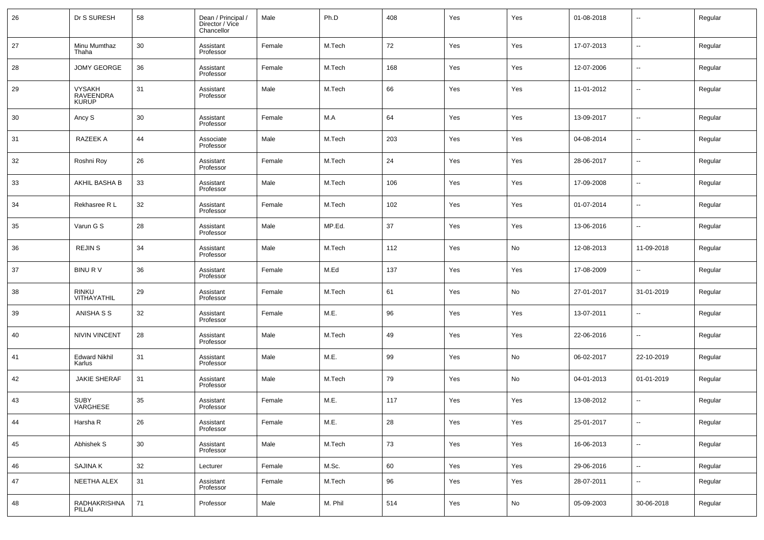| 26 | Dr S SURESH                                | 58     | Dean / Principal /<br>Director / Vice<br>Chancellor | Male   | Ph.D    | 408 | Yes | Yes | 01-08-2018 | $\overline{\phantom{a}}$ | Regular |
|----|--------------------------------------------|--------|-----------------------------------------------------|--------|---------|-----|-----|-----|------------|--------------------------|---------|
| 27 | Minu Mumthaz<br>Thaha                      | 30     | Assistant<br>Professor                              | Female | M.Tech  | 72  | Yes | Yes | 17-07-2013 | $\overline{\phantom{a}}$ | Regular |
| 28 | <b>JOMY GEORGE</b>                         | 36     | Assistant<br>Professor                              | Female | M.Tech  | 168 | Yes | Yes | 12-07-2006 | $\overline{\phantom{a}}$ | Regular |
| 29 | <b>VYSAKH</b><br>RAVEENDRA<br><b>KURUP</b> | 31     | Assistant<br>Professor                              | Male   | M.Tech  | 66  | Yes | Yes | 11-01-2012 | $\sim$                   | Regular |
| 30 | Ancy S                                     | 30     | Assistant<br>Professor                              | Female | M.A     | 64  | Yes | Yes | 13-09-2017 | $\overline{\phantom{a}}$ | Regular |
| 31 | RAZEEK A                                   | 44     | Associate<br>Professor                              | Male   | M.Tech  | 203 | Yes | Yes | 04-08-2014 | $\overline{\phantom{a}}$ | Regular |
| 32 | Roshni Roy                                 | 26     | Assistant<br>Professor                              | Female | M.Tech  | 24  | Yes | Yes | 28-06-2017 | $\overline{\phantom{a}}$ | Regular |
| 33 | AKHIL BASHA B                              | 33     | Assistant<br>Professor                              | Male   | M.Tech  | 106 | Yes | Yes | 17-09-2008 | $\overline{\phantom{a}}$ | Regular |
| 34 | Rekhasree R L                              | 32     | Assistant<br>Professor                              | Female | M.Tech  | 102 | Yes | Yes | 01-07-2014 | $\overline{\phantom{a}}$ | Regular |
| 35 | Varun G S                                  | 28     | Assistant<br>Professor                              | Male   | MP.Ed.  | 37  | Yes | Yes | 13-06-2016 | $\overline{\phantom{a}}$ | Regular |
| 36 | <b>REJIN S</b>                             | 34     | Assistant<br>Professor                              | Male   | M.Tech  | 112 | Yes | No  | 12-08-2013 | 11-09-2018               | Regular |
| 37 | <b>BINURV</b>                              | 36     | Assistant<br>Professor                              | Female | M.Ed    | 137 | Yes | Yes | 17-08-2009 | $\overline{\phantom{a}}$ | Regular |
| 38 | <b>RINKU</b><br>VITHAYATHIL                | 29     | Assistant<br>Professor                              | Female | M.Tech  | 61  | Yes | No  | 27-01-2017 | 31-01-2019               | Regular |
| 39 | ANISHA S S                                 | 32     | Assistant<br>Professor                              | Female | M.E.    | 96  | Yes | Yes | 13-07-2011 | $\overline{\phantom{a}}$ | Regular |
| 40 | <b>NIVIN VINCENT</b>                       | 28     | Assistant<br>Professor                              | Male   | M.Tech  | 49  | Yes | Yes | 22-06-2016 | $\overline{\phantom{a}}$ | Regular |
| 41 | <b>Edward Nikhil</b><br>Karlus             | 31     | Assistant<br>Professor                              | Male   | M.E.    | 99  | Yes | No  | 06-02-2017 | 22-10-2019               | Regular |
| 42 | <b>JAKIE SHERAF</b>                        | 31     | Assistant<br>Professor                              | Male   | M.Tech  | 79  | Yes | No  | 04-01-2013 | 01-01-2019               | Regular |
| 43 | <b>SUBY</b><br>VARGHESE                    | 35     | Assistant<br>Professor                              | Female | M.E.    | 117 | Yes | Yes | 13-08-2012 | $\overline{\phantom{a}}$ | Regular |
| 44 | Harsha R                                   | 26     | Assistant<br>Professor                              | Female | M.E.    | 28  | Yes | Yes | 25-01-2017 | $\overline{\phantom{a}}$ | Regular |
| 45 | Abhishek S                                 | $30\,$ | Assistant<br>Professor                              | Male   | M.Tech  | 73  | Yes | Yes | 16-06-2013 | $\overline{\phantom{a}}$ | Regular |
| 46 | <b>SAJINA K</b>                            | 32     | Lecturer                                            | Female | M.Sc.   | 60  | Yes | Yes | 29-06-2016 | $\overline{\phantom{a}}$ | Regular |
| 47 | NEETHA ALEX                                | 31     | Assistant<br>Professor                              | Female | M.Tech  | 96  | Yes | Yes | 28-07-2011 | $\overline{\phantom{a}}$ | Regular |
| 48 | RADHAKRISHNA<br>PILLAI                     | 71     | Professor                                           | Male   | M. Phil | 514 | Yes | No  | 05-09-2003 | 30-06-2018               | Regular |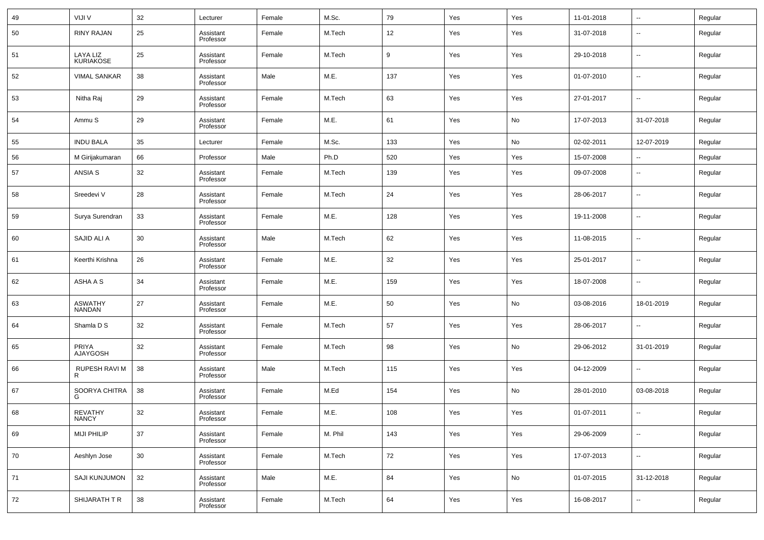| 49 | VIJI V                          | 32 | Lecturer               | Female | M.Sc.   | 79  | Yes | Yes | 11-01-2018 | $\overline{\phantom{a}}$ | Regular |
|----|---------------------------------|----|------------------------|--------|---------|-----|-----|-----|------------|--------------------------|---------|
| 50 | <b>RINY RAJAN</b>               | 25 | Assistant<br>Professor | Female | M.Tech  | 12  | Yes | Yes | 31-07-2018 | $\overline{\phantom{a}}$ | Regular |
| 51 | LAYA LIZ<br><b>KURIAKOSE</b>    | 25 | Assistant<br>Professor | Female | M.Tech  | 9   | Yes | Yes | 29-10-2018 | $\overline{\phantom{a}}$ | Regular |
| 52 | <b>VIMAL SANKAR</b>             | 38 | Assistant<br>Professor | Male   | M.E.    | 137 | Yes | Yes | 01-07-2010 | $\overline{\phantom{a}}$ | Regular |
| 53 | Nitha Raj                       | 29 | Assistant<br>Professor | Female | M.Tech  | 63  | Yes | Yes | 27-01-2017 | $\overline{\phantom{a}}$ | Regular |
| 54 | Ammu S                          | 29 | Assistant<br>Professor | Female | M.E.    | 61  | Yes | No  | 17-07-2013 | 31-07-2018               | Regular |
| 55 | <b>INDU BALA</b>                | 35 | Lecturer               | Female | M.Sc.   | 133 | Yes | No  | 02-02-2011 | 12-07-2019               | Regular |
| 56 | M Girijakumaran                 | 66 | Professor              | Male   | Ph.D    | 520 | Yes | Yes | 15-07-2008 | $\overline{\phantom{a}}$ | Regular |
| 57 | ANSIA S                         | 32 | Assistant<br>Professor | Female | M.Tech  | 139 | Yes | Yes | 09-07-2008 | $\overline{\phantom{a}}$ | Regular |
| 58 | Sreedevi V                      | 28 | Assistant<br>Professor | Female | M.Tech  | 24  | Yes | Yes | 28-06-2017 | $\overline{\phantom{a}}$ | Regular |
| 59 | Surya Surendran                 | 33 | Assistant<br>Professor | Female | M.E.    | 128 | Yes | Yes | 19-11-2008 | $\overline{\phantom{a}}$ | Regular |
| 60 | SAJID ALI A                     | 30 | Assistant<br>Professor | Male   | M.Tech  | 62  | Yes | Yes | 11-08-2015 | $\overline{\phantom{a}}$ | Regular |
| 61 | Keerthi Krishna                 | 26 | Assistant<br>Professor | Female | M.E.    | 32  | Yes | Yes | 25-01-2017 | $\overline{\phantom{a}}$ | Regular |
| 62 | ASHA A S                        | 34 | Assistant<br>Professor | Female | M.E.    | 159 | Yes | Yes | 18-07-2008 | $\overline{\phantom{a}}$ | Regular |
| 63 | <b>ASWATHY</b><br><b>NANDAN</b> | 27 | Assistant<br>Professor | Female | M.E.    | 50  | Yes | No  | 03-08-2016 | 18-01-2019               | Regular |
| 64 | Shamla D S                      | 32 | Assistant<br>Professor | Female | M.Tech  | 57  | Yes | Yes | 28-06-2017 | $\overline{\phantom{a}}$ | Regular |
| 65 | <b>PRIYA</b><br><b>AJAYGOSH</b> | 32 | Assistant<br>Professor | Female | M.Tech  | 98  | Yes | No  | 29-06-2012 | 31-01-2019               | Regular |
| 66 | RUPESH RAVI M<br>R              | 38 | Assistant<br>Professor | Male   | M.Tech  | 115 | Yes | Yes | 04-12-2009 | $\overline{\phantom{a}}$ | Regular |
| 67 | SOORYA CHITRA<br>G              | 38 | Assistant<br>Professor | Female | M.Ed    | 154 | Yes | No  | 28-01-2010 | 03-08-2018               | Regular |
| 68 | <b>REVATHY</b><br><b>NANCY</b>  | 32 | Assistant<br>Professor | Female | M.E.    | 108 | Yes | Yes | 01-07-2011 | $\overline{\phantom{a}}$ | Regular |
| 69 | <b>MIJI PHILIP</b>              | 37 | Assistant<br>Professor | Female | M. Phil | 143 | Yes | Yes | 29-06-2009 | $\overline{\phantom{a}}$ | Regular |
| 70 | Aeshlyn Jose                    | 30 | Assistant<br>Professor | Female | M.Tech  | 72  | Yes | Yes | 17-07-2013 | $\overline{\phantom{a}}$ | Regular |
| 71 | SAJI KUNJUMON                   | 32 | Assistant<br>Professor | Male   | M.E.    | 84  | Yes | No  | 01-07-2015 | 31-12-2018               | Regular |
| 72 | SHIJARATH T R                   | 38 | Assistant<br>Professor | Female | M.Tech  | 64  | Yes | Yes | 16-08-2017 | ۰.                       | Regular |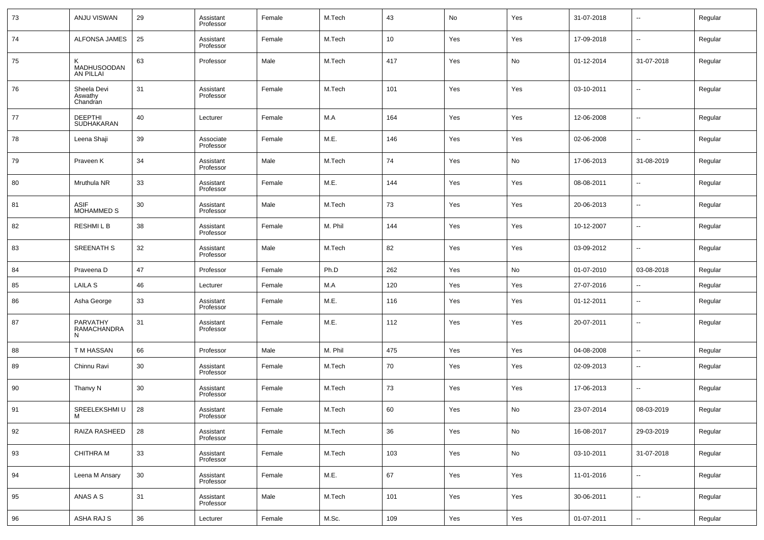| 73 | ANJU VISWAN                        | 29 | Assistant<br>Professor | Female | M.Tech  | 43  | No  | Yes | 31-07-2018 | $\overline{\phantom{a}}$ | Regular |
|----|------------------------------------|----|------------------------|--------|---------|-----|-----|-----|------------|--------------------------|---------|
| 74 | ALFONSA JAMES                      | 25 | Assistant<br>Professor | Female | M.Tech  | 10  | Yes | Yes | 17-09-2018 | $\sim$                   | Regular |
| 75 | Κ<br>MADHUSOODAN<br>AN PILLAI      | 63 | Professor              | Male   | M.Tech  | 417 | Yes | No  | 01-12-2014 | 31-07-2018               | Regular |
| 76 | Sheela Devi<br>Aswathy<br>Chandran | 31 | Assistant<br>Professor | Female | M.Tech  | 101 | Yes | Yes | 03-10-2011 | $\sim$                   | Regular |
| 77 | <b>DEEPTHI</b><br>SUDHAKARAN       | 40 | Lecturer               | Female | M.A     | 164 | Yes | Yes | 12-06-2008 | $\sim$                   | Regular |
| 78 | Leena Shaji                        | 39 | Associate<br>Professor | Female | M.E.    | 146 | Yes | Yes | 02-06-2008 | $\overline{\phantom{a}}$ | Regular |
| 79 | Praveen K                          | 34 | Assistant<br>Professor | Male   | M.Tech  | 74  | Yes | No  | 17-06-2013 | 31-08-2019               | Regular |
| 80 | Mruthula NR                        | 33 | Assistant<br>Professor | Female | M.E.    | 144 | Yes | Yes | 08-08-2011 | $\overline{\phantom{a}}$ | Regular |
| 81 | ASIF<br>MOHAMMED S                 | 30 | Assistant<br>Professor | Male   | M.Tech  | 73  | Yes | Yes | 20-06-2013 | $\sim$                   | Regular |
| 82 | <b>RESHMILB</b>                    | 38 | Assistant<br>Professor | Female | M. Phil | 144 | Yes | Yes | 10-12-2007 | $\sim$                   | Regular |
| 83 | <b>SREENATH S</b>                  | 32 | Assistant<br>Professor | Male   | M.Tech  | 82  | Yes | Yes | 03-09-2012 | $\sim$                   | Regular |
| 84 | Praveena D                         | 47 | Professor              | Female | Ph.D    | 262 | Yes | No  | 01-07-2010 | 03-08-2018               | Regular |
| 85 | <b>LAILA S</b>                     | 46 | Lecturer               | Female | M.A     | 120 | Yes | Yes | 27-07-2016 | $\overline{\phantom{a}}$ | Regular |
| 86 | Asha George                        | 33 | Assistant<br>Professor | Female | M.E.    | 116 | Yes | Yes | 01-12-2011 | $\overline{\phantom{a}}$ | Regular |
| 87 | PARVATHY<br>RAMACHANDRA<br>N       | 31 | Assistant<br>Professor | Female | M.E.    | 112 | Yes | Yes | 20-07-2011 | $\overline{\phantom{a}}$ | Regular |
| 88 | T M HASSAN                         | 66 | Professor              | Male   | M. Phil | 475 | Yes | Yes | 04-08-2008 | $\overline{\phantom{a}}$ | Regular |
| 89 | Chinnu Ravi                        | 30 | Assistant<br>Professor | Female | M.Tech  | 70  | Yes | Yes | 02-09-2013 | $\sim$                   | Regular |
| 90 | Thanvy N                           | 30 | Assistant<br>Professor | Female | M.Tech  | 73  | Yes | Yes | 17-06-2013 | $\sim$                   | Regular |
| 91 | SREELEKSHMI U<br>IVI               | 28 | Assistant<br>Professor | Female | M.Tech  | 60  | Yes | No  | 23-07-2014 | 08-03-2019               | Regular |
| 92 | RAIZA RASHEED                      | 28 | Assistant<br>Professor | Female | M.Tech  | 36  | Yes | No  | 16-08-2017 | 29-03-2019               | Regular |
| 93 | CHITHRA M                          | 33 | Assistant<br>Professor | Female | M.Tech  | 103 | Yes | No  | 03-10-2011 | 31-07-2018               | Regular |
| 94 | Leena M Ansary                     | 30 | Assistant<br>Professor | Female | M.E.    | 67  | Yes | Yes | 11-01-2016 | $\overline{\phantom{a}}$ | Regular |
| 95 | ANAS A S                           | 31 | Assistant<br>Professor | Male   | M.Tech  | 101 | Yes | Yes | 30-06-2011 | $\overline{\phantom{a}}$ | Regular |
| 96 | ASHA RAJ S                         | 36 | Lecturer               | Female | M.Sc.   | 109 | Yes | Yes | 01-07-2011 | $\overline{\phantom{a}}$ | Regular |